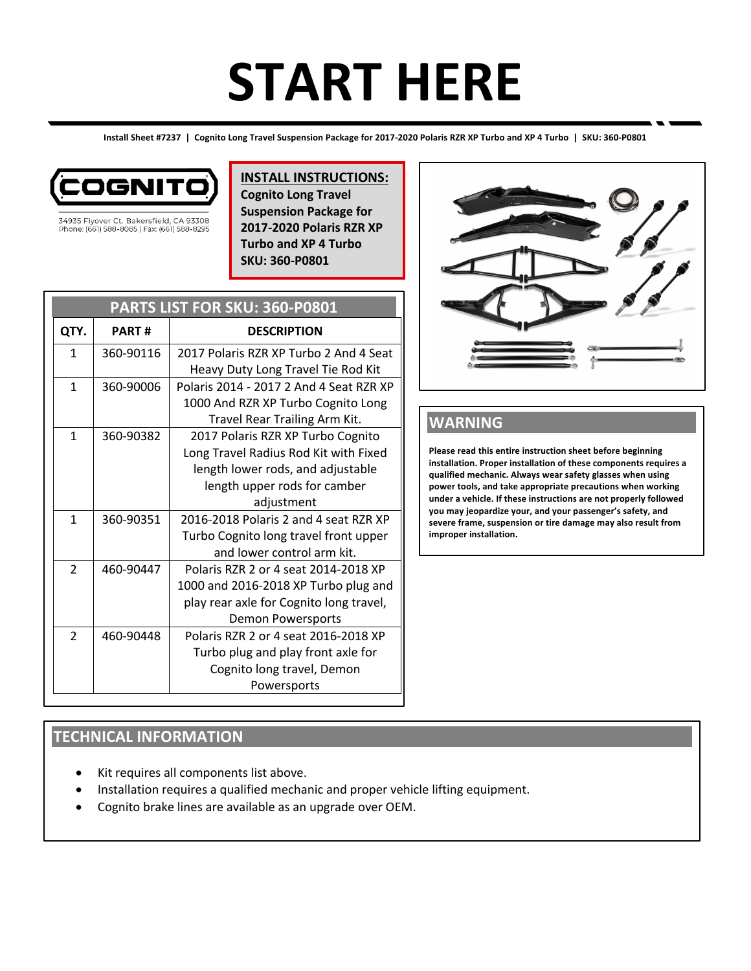# **START HERE**

**Install Sheet #7237 | Cognito Long Travel Suspension Package for 2017-2020 Polaris RZR XP Turbo and XP 4 Turbo | SKU: 360-P0801**



34935 Flyover Ct. Bakersfield, CA 93308 Phone: (661) 588-8085 | Fax: (661) 588-8295 **INSTALL INSTRUCTIONS: Cognito Long Travel Suspension Package for 2017-2020 Polaris RZR XP Turbo and XP 4 Turbo SKU: 360-P0801**

| PARTS LIST FOR SKU: 360-P0801 |              |                                                                                                                                                               |
|-------------------------------|--------------|---------------------------------------------------------------------------------------------------------------------------------------------------------------|
| QTY.                          | <b>PART#</b> | <b>DESCRIPTION</b>                                                                                                                                            |
| 1                             | 360-90116    | 2017 Polaris RZR XP Turbo 2 And 4 Seat<br>Heavy Duty Long Travel Tie Rod Kit                                                                                  |
| $\mathbf{1}$                  | 360-90006    | Polaris 2014 - 2017 2 And 4 Seat RZR XP<br>1000 And RZR XP Turbo Cognito Long<br>Travel Rear Trailing Arm Kit.                                                |
| 1                             | 360-90382    | 2017 Polaris RZR XP Turbo Cognito<br>Long Travel Radius Rod Kit with Fixed<br>length lower rods, and adjustable<br>length upper rods for camber<br>adjustment |
| 1                             | 360-90351    | 2016-2018 Polaris 2 and 4 seat RZR XP<br>Turbo Cognito long travel front upper<br>and lower control arm kit.                                                  |
| $\mathcal{P}$                 | 460-90447    | Polaris RZR 2 or 4 seat 2014-2018 XP<br>1000 and 2016-2018 XP Turbo plug and<br>play rear axle for Cognito long travel,<br><b>Demon Powersports</b>           |
| $\mathfrak{D}$                | 460-90448    | Polaris RZR 2 or 4 seat 2016-2018 XP<br>Turbo plug and play front axle for<br>Cognito long travel, Demon<br>Powersports                                       |



## **WARNING**

**Please read this entire instruction sheet before beginning installation. Proper installation of these components requires a qualified mechanic. Always wear safety glasses when using power tools, and take appropriate precautions when working under a vehicle. If these instructions are not properly followed you may jeopardize your, and your passenger's safety, and severe frame, suspension or tire damage may also result from improper installation.**

## **TECHNICAL INFORMATION**

- Kit requires all components list above.
- Installation requires a qualified mechanic and proper vehicle lifting equipment.
- Cognito brake lines are available as an upgrade over OEM.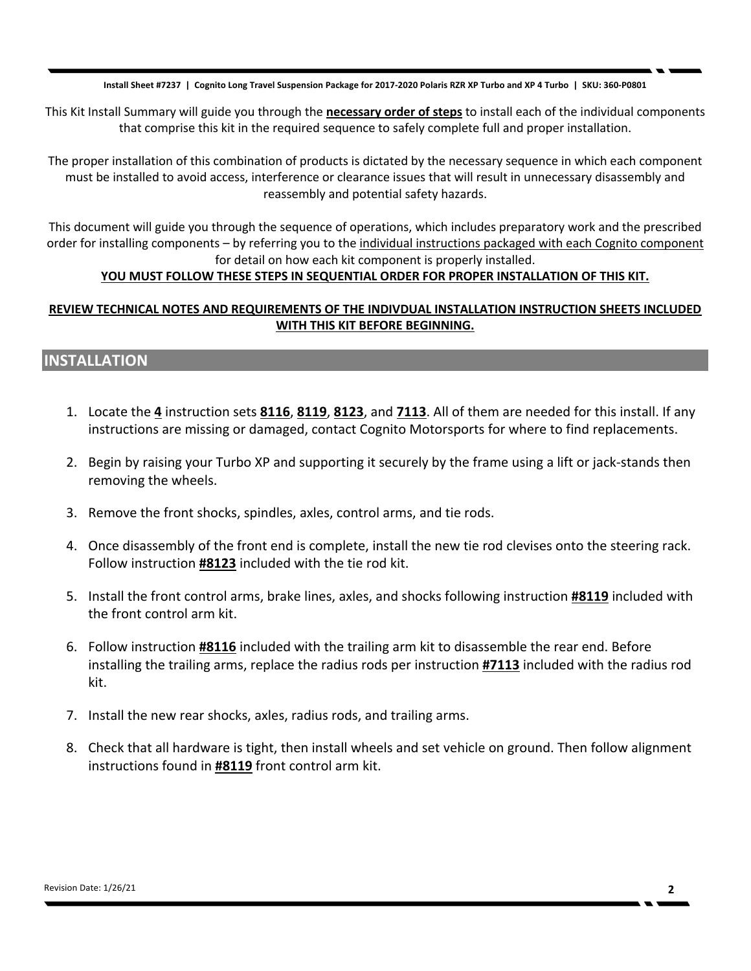**Install Sheet #7237 | Cognito Long Travel Suspension Package for 2017-2020 Polaris RZR XP Turbo and XP 4 Turbo | SKU: 360-P0801**

This Kit Install Summary will guide you through the **necessary order of steps** to install each of the individual components that comprise this kit in the required sequence to safely complete full and proper installation.

The proper installation of this combination of products is dictated by the necessary sequence in which each component must be installed to avoid access, interference or clearance issues that will result in unnecessary disassembly and reassembly and potential safety hazards.

This document will guide you through the sequence of operations, which includes preparatory work and the prescribed order for installing components – by referring you to the individual instructions packaged with each Cognito component for detail on how each kit component is properly installed.

#### **YOU MUST FOLLOW THESE STEPS IN SEQUENTIAL ORDER FOR PROPER INSTALLATION OF THIS KIT.**

#### **REVIEW TECHNICAL NOTES AND REQUIREMENTS OF THE INDIVDUAL INSTALLATION INSTRUCTION SHEETS INCLUDED WITH THIS KIT BEFORE BEGINNING.**

## **INSTALLATION**

- 1. Locate the **4** instruction sets **8116**, **8119**, **8123**, and **7113**. All of them are needed for this install. If any instructions are missing or damaged, contact Cognito Motorsports for where to find replacements.
- 2. Begin by raising your Turbo XP and supporting it securely by the frame using a lift or jack-stands then removing the wheels.
- 3. Remove the front shocks, spindles, axles, control arms, and tie rods.
- 4. Once disassembly of the front end is complete, install the new tie rod clevises onto the steering rack. Follow instruction **#8123** included with the tie rod kit.
- 5. Install the front control arms, brake lines, axles, and shocks following instruction **#8119** included with the front control arm kit.
- 6. Follow instruction **#8116** included with the trailing arm kit to disassemble the rear end. Before installing the trailing arms, replace the radius rods per instruction **#7113** included with the radius rod kit.
- 7. Install the new rear shocks, axles, radius rods, and trailing arms.
- 8. Check that all hardware is tight, then install wheels and set vehicle on ground. Then follow alignment instructions found in **#8119** front control arm kit.